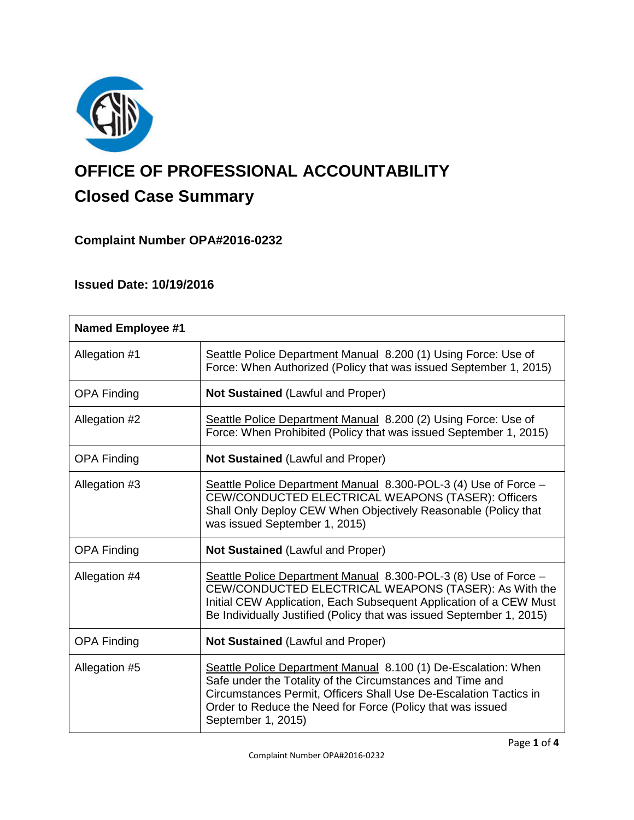

# **OFFICE OF PROFESSIONAL ACCOUNTABILITY Closed Case Summary**

## **Complaint Number OPA#2016-0232**

## **Issued Date: 10/19/2016**

| <b>Named Employee #1</b> |                                                                                                                                                                                                                                                                                      |
|--------------------------|--------------------------------------------------------------------------------------------------------------------------------------------------------------------------------------------------------------------------------------------------------------------------------------|
| Allegation #1            | Seattle Police Department Manual 8.200 (1) Using Force: Use of<br>Force: When Authorized (Policy that was issued September 1, 2015)                                                                                                                                                  |
| <b>OPA Finding</b>       | <b>Not Sustained (Lawful and Proper)</b>                                                                                                                                                                                                                                             |
| Allegation #2            | Seattle Police Department Manual 8.200 (2) Using Force: Use of<br>Force: When Prohibited (Policy that was issued September 1, 2015)                                                                                                                                                  |
| <b>OPA Finding</b>       | <b>Not Sustained (Lawful and Proper)</b>                                                                                                                                                                                                                                             |
| Allegation #3            | Seattle Police Department Manual 8.300-POL-3 (4) Use of Force -<br>CEW/CONDUCTED ELECTRICAL WEAPONS (TASER): Officers<br>Shall Only Deploy CEW When Objectively Reasonable (Policy that<br>was issued September 1, 2015)                                                             |
| <b>OPA Finding</b>       | <b>Not Sustained (Lawful and Proper)</b>                                                                                                                                                                                                                                             |
| Allegation #4            | Seattle Police Department Manual 8.300-POL-3 (8) Use of Force -<br>CEW/CONDUCTED ELECTRICAL WEAPONS (TASER): As With the<br>Initial CEW Application, Each Subsequent Application of a CEW Must<br>Be Individually Justified (Policy that was issued September 1, 2015)               |
| <b>OPA Finding</b>       | Not Sustained (Lawful and Proper)                                                                                                                                                                                                                                                    |
| Allegation #5            | Seattle Police Department Manual 8.100 (1) De-Escalation: When<br>Safe under the Totality of the Circumstances and Time and<br>Circumstances Permit, Officers Shall Use De-Escalation Tactics in<br>Order to Reduce the Need for Force (Policy that was issued<br>September 1, 2015) |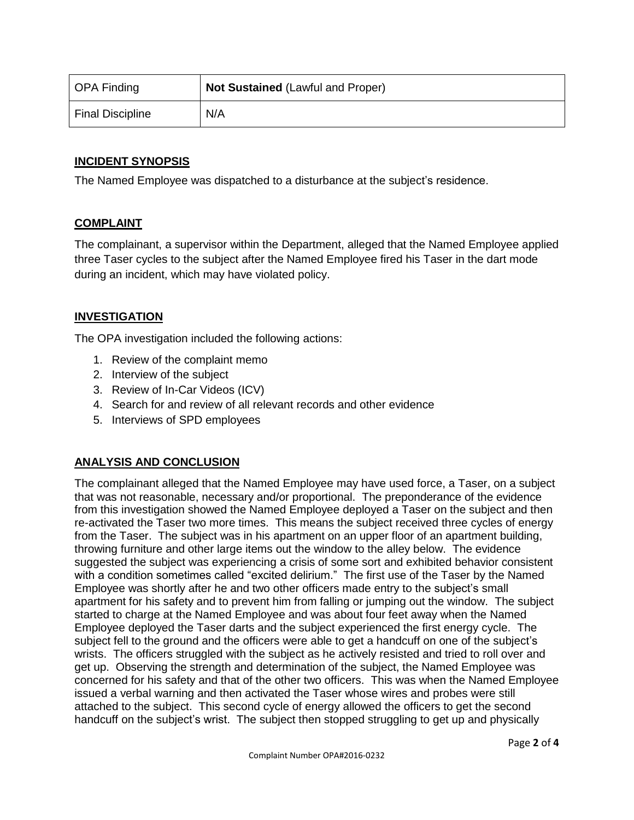| OPA Finding             | <b>Not Sustained (Lawful and Proper)</b> |
|-------------------------|------------------------------------------|
| <b>Final Discipline</b> | N/A                                      |

## **INCIDENT SYNOPSIS**

The Named Employee was dispatched to a disturbance at the subject's residence.

## **COMPLAINT**

The complainant, a supervisor within the Department, alleged that the Named Employee applied three Taser cycles to the subject after the Named Employee fired his Taser in the dart mode during an incident, which may have violated policy.

## **INVESTIGATION**

The OPA investigation included the following actions:

- 1. Review of the complaint memo
- 2. Interview of the subject
- 3. Review of In-Car Videos (ICV)
- 4. Search for and review of all relevant records and other evidence
- 5. Interviews of SPD employees

## **ANALYSIS AND CONCLUSION**

The complainant alleged that the Named Employee may have used force, a Taser, on a subject that was not reasonable, necessary and/or proportional. The preponderance of the evidence from this investigation showed the Named Employee deployed a Taser on the subject and then re-activated the Taser two more times. This means the subject received three cycles of energy from the Taser. The subject was in his apartment on an upper floor of an apartment building, throwing furniture and other large items out the window to the alley below. The evidence suggested the subject was experiencing a crisis of some sort and exhibited behavior consistent with a condition sometimes called "excited delirium." The first use of the Taser by the Named Employee was shortly after he and two other officers made entry to the subject's small apartment for his safety and to prevent him from falling or jumping out the window. The subject started to charge at the Named Employee and was about four feet away when the Named Employee deployed the Taser darts and the subject experienced the first energy cycle. The subject fell to the ground and the officers were able to get a handcuff on one of the subject's wrists. The officers struggled with the subject as he actively resisted and tried to roll over and get up. Observing the strength and determination of the subject, the Named Employee was concerned for his safety and that of the other two officers. This was when the Named Employee issued a verbal warning and then activated the Taser whose wires and probes were still attached to the subject. This second cycle of energy allowed the officers to get the second handcuff on the subject's wrist. The subject then stopped struggling to get up and physically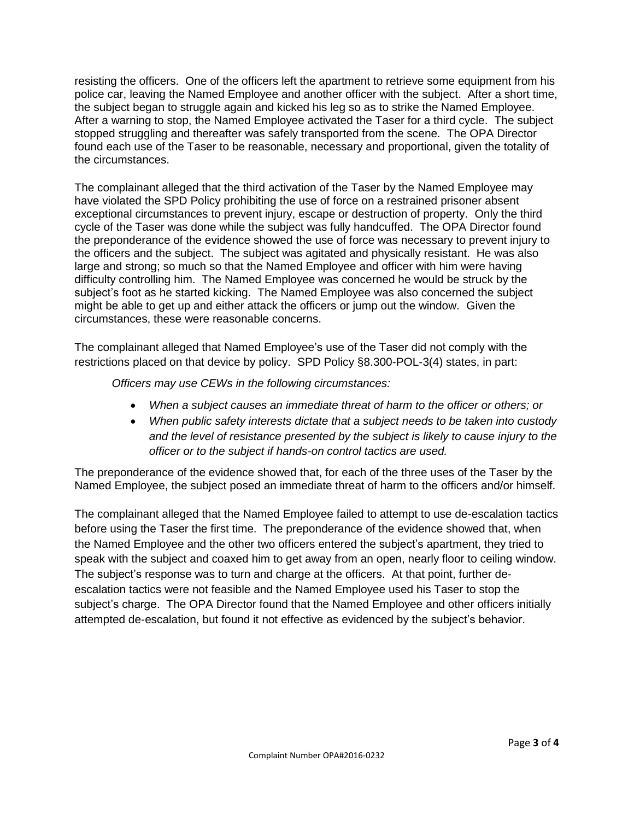resisting the officers. One of the officers left the apartment to retrieve some equipment from his police car, leaving the Named Employee and another officer with the subject. After a short time, the subject began to struggle again and kicked his leg so as to strike the Named Employee. After a warning to stop, the Named Employee activated the Taser for a third cycle. The subject stopped struggling and thereafter was safely transported from the scene. The OPA Director found each use of the Taser to be reasonable, necessary and proportional, given the totality of the circumstances.

The complainant alleged that the third activation of the Taser by the Named Employee may have violated the SPD Policy prohibiting the use of force on a restrained prisoner absent exceptional circumstances to prevent injury, escape or destruction of property. Only the third cycle of the Taser was done while the subject was fully handcuffed. The OPA Director found the preponderance of the evidence showed the use of force was necessary to prevent injury to the officers and the subject. The subject was agitated and physically resistant. He was also large and strong; so much so that the Named Employee and officer with him were having difficulty controlling him. The Named Employee was concerned he would be struck by the subject's foot as he started kicking. The Named Employee was also concerned the subject might be able to get up and either attack the officers or jump out the window. Given the circumstances, these were reasonable concerns.

The complainant alleged that Named Employee's use of the Taser did not comply with the restrictions placed on that device by policy. SPD Policy §8.300-POL-3(4) states, in part:

*Officers may use CEWs in the following circumstances:*

- *When a subject causes an immediate threat of harm to the officer or others; or*
- *When public safety interests dictate that a subject needs to be taken into custody and the level of resistance presented by the subject is likely to cause injury to the officer or to the subject if hands-on control tactics are used.*

The preponderance of the evidence showed that, for each of the three uses of the Taser by the Named Employee, the subject posed an immediate threat of harm to the officers and/or himself.

The complainant alleged that the Named Employee failed to attempt to use de-escalation tactics before using the Taser the first time. The preponderance of the evidence showed that, when the Named Employee and the other two officers entered the subject's apartment, they tried to speak with the subject and coaxed him to get away from an open, nearly floor to ceiling window. The subject's response was to turn and charge at the officers. At that point, further deescalation tactics were not feasible and the Named Employee used his Taser to stop the subject's charge. The OPA Director found that the Named Employee and other officers initially attempted de-escalation, but found it not effective as evidenced by the subject's behavior.